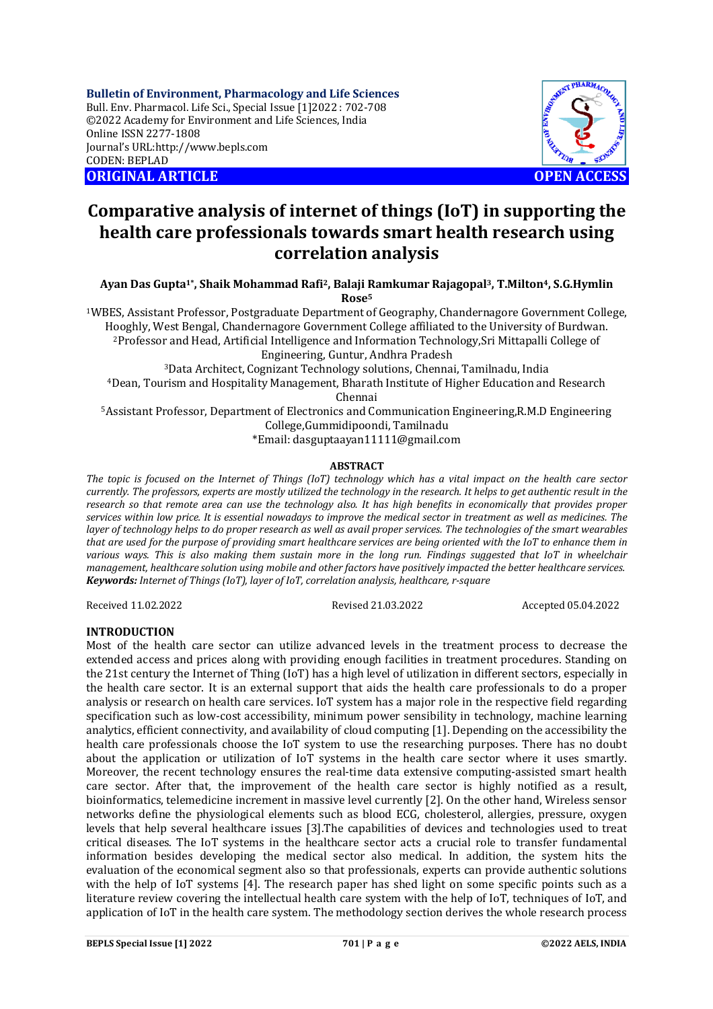**Bulletin of Environment, Pharmacology and Life Sciences** Bull. Env. Pharmacol. Life Sci., Special Issue [1]2022 : 702-708 ©2022 Academy for Environment and Life Sciences, India Online ISSN 2277-1808 Journal's URL:<http://www.bepls.com> CODEN: BEPLAD **ORIGINAL ARTICLE OPEN ACCESS** 



# **Comparative analysis of internet of things (IoT) in supporting the health care professionals towards smart health research using correlation analysis**

**Ayan Das Gupta1\*, Shaik Mohammad Rafi2, Balaji Ramkumar Rajagopal3, T.Milton4, S.G.Hymlin Rose<sup>5</sup>**

<sup>1</sup>WBES, Assistant Professor, Postgraduate Department of Geography, Chandernagore Government College, Hooghly, West Bengal, Chandernagore Government College affiliated to the University of Burdwan. <sup>2</sup>Professor and Head, Artificial Intelligence and Information Technology,Sri Mittapalli College of Engineering, Guntur, Andhra Pradesh

<sup>3</sup>Data Architect, Cognizant Technology solutions, Chennai, Tamilnadu, India <sup>4</sup>Dean, Tourism and Hospitality Management, Bharath Institute of Higher Education and Research Chennai

<sup>5</sup>Assistant Professor, Department of Electronics and Communication Engineering,R.M.D Engineering College,Gummidipoondi, Tamilnadu

\*Email: [dasguptaayan11111@gmail.com](mailto:dasguptaayan11111@gmail.com)

# **ABSTRACT**

*The topic is focused on the Internet of Things (IoT) technology which has a vital impact on the health care sector currently. The professors, experts are mostly utilized the technology in the research. It helps to get authentic result in the research so that remote area can use the technology also. It has high benefits in economically that provides proper services within low price. It is essential nowadays to improve the medical sector in treatment as well as medicines. The layer of technology helps to do proper research as well as avail proper services. The technologies of the smart wearables that are used for the purpose of providing smart healthcare services are being oriented with the IoT to enhance them in various ways. This is also making them sustain more in the long run. Findings suggested that IoT in wheelchair management, healthcare solution using mobile and other factors have positively impacted the better healthcare services. Keywords: Internet of Things (IoT), layer of IoT, correlation analysis, healthcare, r-square*

Received 11.02.2022 Revised 21.03.2022 Accepted 05.04.2022

# **INTRODUCTION**

Most of the health care sector can utilize advanced levels in the treatment process to decrease the extended access and prices along with providing enough facilities in treatment procedures. Standing on the 21st century the Internet of Thing (IoT) has a high level of utilization in different sectors, especially in the health care sector. It is an external support that aids the health care professionals to do a proper analysis or research on health care services. IoT system has a major role in the respective field regarding specification such as low-cost accessibility, minimum power sensibility in technology, machine learning analytics, efficient connectivity, and availability of cloud computing [1]. Depending on the accessibility the health care professionals choose the IoT system to use the researching purposes. There has no doubt about the application or utilization of IoT systems in the health care sector where it uses smartly. Moreover, the recent technology ensures the real-time data extensive computing-assisted smart health care sector. After that, the improvement of the health care sector is highly notified as a result, bioinformatics, telemedicine increment in massive level currently [2]. On the other hand, Wireless sensor networks define the physiological elements such as blood ECG, cholesterol, allergies, pressure, oxygen levels that help several healthcare issues [3].The capabilities of devices and technologies used to treat critical diseases. The IoT systems in the healthcare sector acts a crucial role to transfer fundamental information besides developing the medical sector also medical. In addition, the system hits the evaluation of the economical segment also so that professionals, experts can provide authentic solutions with the help of IoT systems [4]. The research paper has shed light on some specific points such as a literature review covering the intellectual health care system with the help of IoT, techniques of IoT, and application of IoT in the health care system. The methodology section derives the whole research process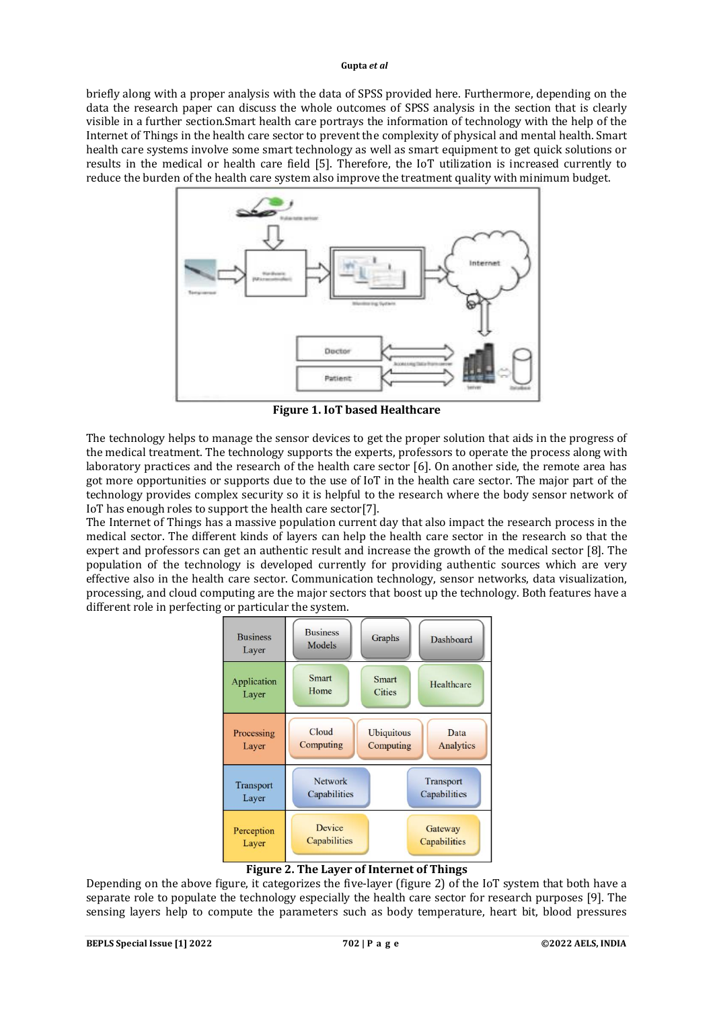briefly along with a proper analysis with the data of SPSS provided here. Furthermore, depending on the data the research paper can discuss the whole outcomes of SPSS analysis in the section that is clearly visible in a further section.Smart health care portrays the information of technology with the help of the Internet of Things in the health care sector to prevent the complexity of physical and mental health. Smart health care systems involve some smart technology as well as smart equipment to get quick solutions or results in the medical or health care field [5]. Therefore, the IoT utilization is increased currently to reduce the burden of the health care system also improve the treatment quality with minimum budget.



**Figure 1. IoT based Healthcare** 

The technology helps to manage the sensor devices to get the proper solution that aids in the progress of the medical treatment. The technology supports the experts, professors to operate the process along with laboratory practices and the research of the health care sector [6]. On another side, the remote area has got more opportunities or supports due to the use of IoT in the health care sector. The major part of the technology provides complex security so it is helpful to the research where the body sensor network of IoT has enough roles to support the health care sector[7].

The Internet of Things has a massive population current day that also impact the research process in the medical sector. The different kinds of layers can help the health care sector in the research so that the expert and professors can get an authentic result and increase the growth of the medical sector [8]. The population of the technology is developed currently for providing authentic sources which are very effective also in the health care sector. Communication technology, sensor networks, data visualization, processing, and cloud computing are the major sectors that boost up the technology. Both features have a different role in perfecting or particular the system.



# **Figure 2. The Layer of Internet of Things**

Depending on the above figure, it categorizes the five-layer (figure 2) of the IoT system that both have a separate role to populate the technology especially the health care sector for research purposes [9]. The sensing layers help to compute the parameters such as body temperature, heart bit, blood pressures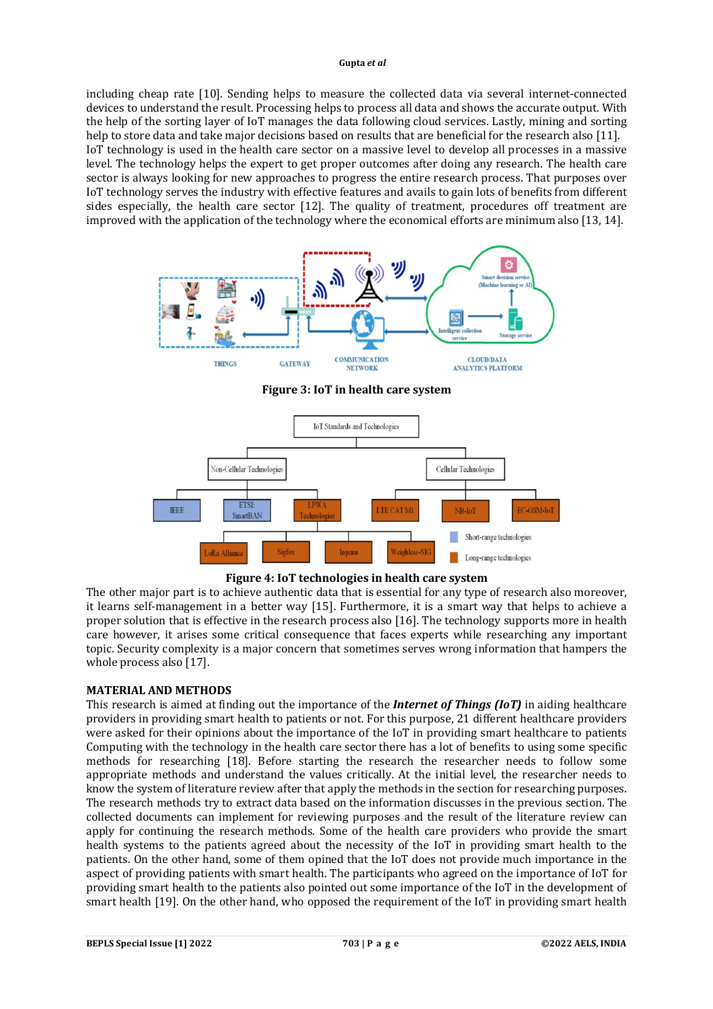including cheap rate [10]. Sending helps to measure the collected data via several internet-connected devices to understand the result. Processing helps to process all data and shows the accurate output. With the help of the sorting layer of IoT manages the data following cloud services. Lastly, mining and sorting help to store data and take major decisions based on results that are beneficial for the research also [11]. IoT technology is used in the health care sector on a massive level to develop all processes in a massive level. The technology helps the expert to get proper outcomes after doing any research. The health care sector is always looking for new approaches to progress the entire research process. That purposes over IoT technology serves the industry with effective features and avails to gain lots of benefits from different sides especially, the health care sector [12]. The quality of treatment, procedures off treatment are improved with the application of the technology where the economical efforts are minimum also [13, 14].



**Figure 3: IoT in health care system**





The other major part is to achieve authentic data that is essential for any type of research also moreover, it learns self-management in a better way [15]. Furthermore, it is a smart way that helps to achieve a proper solution that is effective in the research process also [16]. The technology supports more in health care however, it arises some critical consequence that faces experts while researching any important topic. Security complexity is a major concern that sometimes serves wrong information that hampers the whole process also [17].

# **MATERIAL AND METHODS**

This research is aimed at finding out the importance of the *Internet of Things (IoT)* in aiding healthcare providers in providing smart health to patients or not. For this purpose, 21 different healthcare providers were asked for their opinions about the importance of the IoT in providing smart healthcare to patients Computing with the technology in the health care sector there has a lot of benefits to using some specific methods for researching [18]. Before starting the research the researcher needs to follow some appropriate methods and understand the values critically. At the initial level, the researcher needs to know the system of literature review after that apply the methods in the section for researching purposes. The research methods try to extract data based on the information discusses in the previous section. The collected documents can implement for reviewing purposes and the result of the literature review can apply for continuing the research methods. Some of the health care providers who provide the smart health systems to the patients agreed about the necessity of the IoT in providing smart health to the patients. On the other hand, some of them opined that the IoT does not provide much importance in the aspect of providing patients with smart health. The participants who agreed on the importance of IoT for providing smart health to the patients also pointed out some importance of the IoT in the development of smart health [19]. On the other hand, who opposed the requirement of the IoT in providing smart health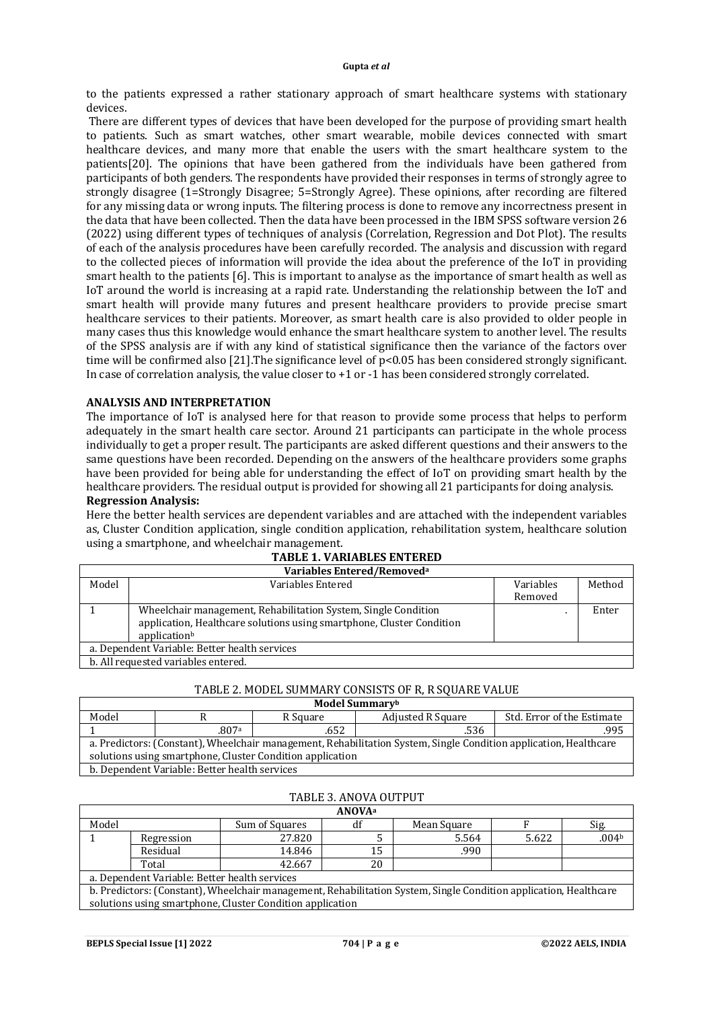to the patients expressed a rather stationary approach of smart healthcare systems with stationary devices.

There are different types of devices that have been developed for the purpose of providing smart health to patients. Such as smart watches, other smart wearable, mobile devices connected with smart healthcare devices, and many more that enable the users with the smart healthcare system to the patients[20]. The opinions that have been gathered from the individuals have been gathered from participants of both genders. The respondents have provided their responses in terms of strongly agree to strongly disagree (1=Strongly Disagree; 5=Strongly Agree). These opinions, after recording are filtered for any missing data or wrong inputs. The filtering process is done to remove any incorrectness present in the data that have been collected. Then the data have been processed in the IBM SPSS software version 26 (2022) using different types of techniques of analysis (Correlation, Regression and Dot Plot). The results of each of the analysis procedures have been carefully recorded. The analysis and discussion with regard to the collected pieces of information will provide the idea about the preference of the IoT in providing smart health to the patients [6]. This is important to analyse as the importance of smart health as well as IoT around the world is increasing at a rapid rate. Understanding the relationship between the IoT and smart health will provide many futures and present healthcare providers to provide precise smart healthcare services to their patients. Moreover, as smart health care is also provided to older people in many cases thus this knowledge would enhance the smart healthcare system to another level. The results of the SPSS analysis are if with any kind of statistical significance then the variance of the factors over time will be confirmed also [21]. The significance level of  $p<0.05$  has been considered strongly significant. In case of correlation analysis, the value closer to +1 or -1 has been considered strongly correlated.

# **ANALYSIS AND INTERPRETATION**

The importance of IoT is analysed here for that reason to provide some process that helps to perform adequately in the smart health care sector. Around 21 participants can participate in the whole process individually to get a proper result. The participants are asked different questions and their answers to the same questions have been recorded. Depending on the answers of the healthcare providers some graphs have been provided for being able for understanding the effect of IoT on providing smart health by the healthcare providers. The residual output is provided for showing all 21 participants for doing analysis. **Regression Analysis:**

Here the better health services are dependent variables and are attached with the independent variables as, Cluster Condition application, single condition application, rehabilitation system, healthcare solution using a smartphone, and wheelchair management.

| Variables Entered/Removed <sup>a</sup>        |                                                                       |           |        |  |  |
|-----------------------------------------------|-----------------------------------------------------------------------|-----------|--------|--|--|
| Model                                         | Variables Entered                                                     | Variables | Method |  |  |
|                                               |                                                                       | Removed   |        |  |  |
|                                               | Wheelchair management, Rehabilitation System, Single Condition        |           | Enter  |  |  |
|                                               | application, Healthcare solutions using smartphone, Cluster Condition |           |        |  |  |
|                                               | applicationb                                                          |           |        |  |  |
| a. Dependent Variable: Better health services |                                                                       |           |        |  |  |
| b. All requested variables entered.           |                                                                       |           |        |  |  |

# **TABLE 1. VARIABLES ENTERED**

## TABLE 2. MODEL SUMMARY CONSISTS OF R, R SOUARE VALUE

| Model Summarvb                                                                                                    |       |          |                          |                            |  |  |
|-------------------------------------------------------------------------------------------------------------------|-------|----------|--------------------------|----------------------------|--|--|
| Model                                                                                                             |       | R Square | <b>Adjusted R Square</b> | Std. Error of the Estimate |  |  |
|                                                                                                                   | .807a | .652     | .536                     | .995                       |  |  |
| a. Predictors: (Constant), Wheelchair management, Rehabilitation System, Single Condition application, Healthcare |       |          |                          |                            |  |  |
| solutions using smartphone, Cluster Condition application                                                         |       |          |                          |                            |  |  |
| b. Dependent Variable: Better health services                                                                     |       |          |                          |                            |  |  |

# TABLE 3. ANOVA OUTPUT

| <b>ANOVA</b> <sup>a</sup>                                                                                         |            |                |    |             |       |       |
|-------------------------------------------------------------------------------------------------------------------|------------|----------------|----|-------------|-------|-------|
| Model                                                                                                             |            | Sum of Squares | df | Mean Square |       | Sig.  |
|                                                                                                                   | Regression | 27.820         |    | 5.564       | 5.622 | .004b |
|                                                                                                                   | Residual   | 14.846         | 15 | .990        |       |       |
|                                                                                                                   | Total      | 42.667         | 20 |             |       |       |
| a. Dependent Variable: Better health services                                                                     |            |                |    |             |       |       |
| b. Predictors: (Constant), Wheelchair management, Rehabilitation System, Single Condition application, Healthcare |            |                |    |             |       |       |
| solutions using smartphone, Cluster Condition application                                                         |            |                |    |             |       |       |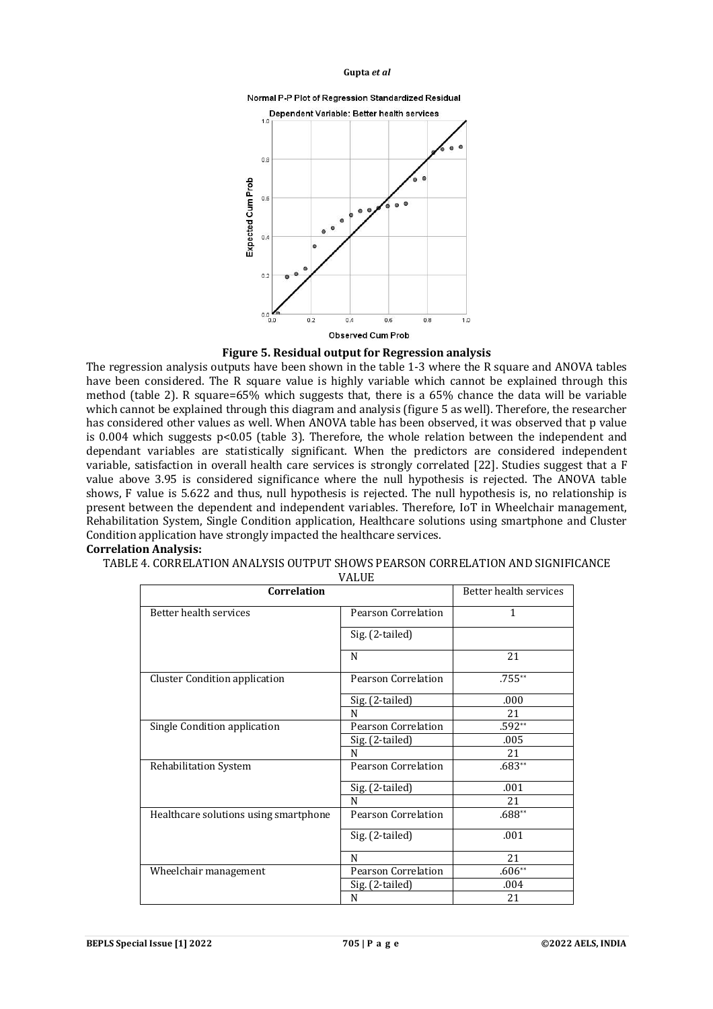





The regression analysis outputs have been shown in the table 1-3 where the R square and ANOVA tables have been considered. The R square value is highly variable which cannot be explained through this method (table 2). R square=65% which suggests that, there is a 65% chance the data will be variable which cannot be explained through this diagram and analysis (figure 5 as well). Therefore, the researcher has considered other values as well. When ANOVA table has been observed, it was observed that p value is 0.004 which suggests  $p<0.05$  (table 3). Therefore, the whole relation between the independent and dependant variables are statistically significant. When the predictors are considered independent variable, satisfaction in overall health care services is strongly correlated [22]. Studies suggest that a F value above 3.95 is considered significance where the null hypothesis is rejected. The ANOVA table shows, F value is 5.622 and thus, null hypothesis is rejected. The null hypothesis is, no relationship is present between the dependent and independent variables. Therefore, IoT in Wheelchair management, Rehabilitation System, Single Condition application, Healthcare solutions using smartphone and Cluster Condition application have strongly impacted the healthcare services.

## **Correlation Analysis:**

TABLE 4. CORRELATION ANALYSIS OUTPUT SHOWS PEARSON CORRELATION AND SIGNIFICANCE

VALUE

| Correlation                           | Better health services |          |
|---------------------------------------|------------------------|----------|
| Better health services                | Pearson Correlation    | 1        |
|                                       | Sig. (2-tailed)        |          |
|                                       | N                      | 21       |
| Cluster Condition application         | Pearson Correlation    | $.755**$ |
|                                       | Sig. (2-tailed)        | .000     |
|                                       | N                      | 21       |
| Single Condition application          | Pearson Correlation    | $.592**$ |
|                                       | Sig. (2-tailed)        | .005     |
|                                       | N                      | 21       |
| Rehabilitation System                 | Pearson Correlation    | $.683**$ |
|                                       | Sig. (2-tailed)        | .001     |
|                                       | N                      | 21       |
| Healthcare solutions using smartphone | Pearson Correlation    | $.688**$ |
|                                       | Sig. (2-tailed)        | .001     |
|                                       | N                      | 21       |
| Wheelchair management                 | Pearson Correlation    | $.606**$ |
|                                       | Sig. (2-tailed)        | .004     |
|                                       | N                      | 21       |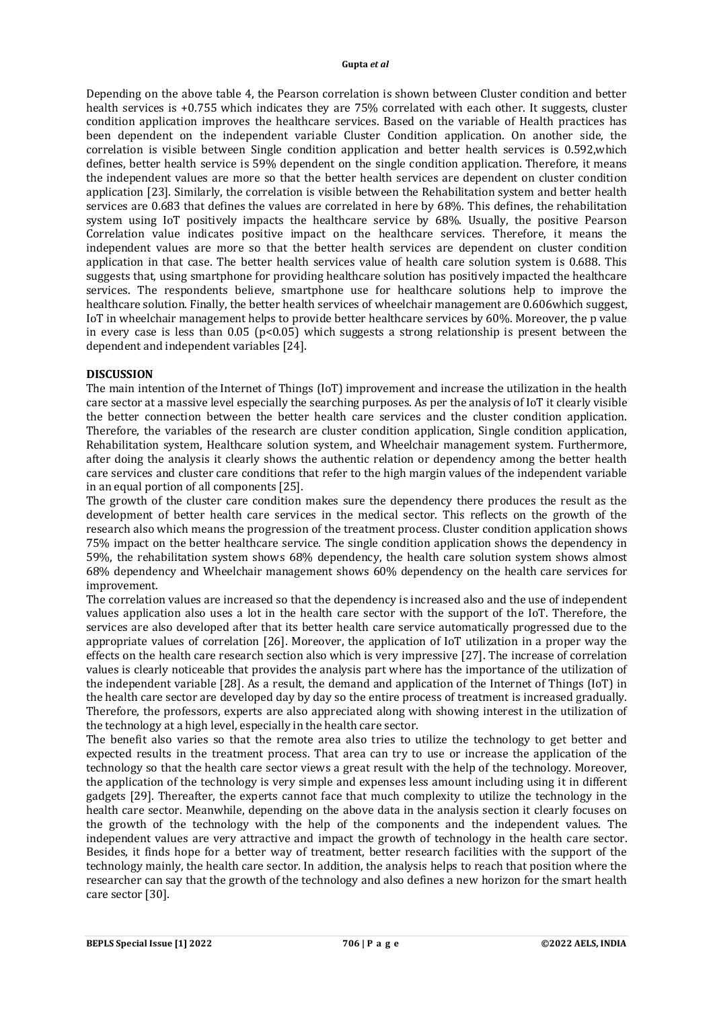Depending on the above table 4, the Pearson correlation is shown between Cluster condition and better health services is +0.755 which indicates they are 75% correlated with each other. It suggests, cluster condition application improves the healthcare services. Based on the variable of Health practices has been dependent on the independent variable Cluster Condition application. On another side, the correlation is visible between Single condition application and better health services is 0.592,which defines, better health service is 59% dependent on the single condition application. Therefore, it means the independent values are more so that the better health services are dependent on cluster condition application [23]. Similarly, the correlation is visible between the Rehabilitation system and better health services are 0.683 that defines the values are correlated in here by 68%. This defines, the rehabilitation system using IoT positively impacts the healthcare service by 68%. Usually, the positive Pearson Correlation value indicates positive impact on the healthcare services. Therefore, it means the independent values are more so that the better health services are dependent on cluster condition application in that case. The better health services value of health care solution system is 0.688. This suggests that, using smartphone for providing healthcare solution has positively impacted the healthcare services. The respondents believe, smartphone use for healthcare solutions help to improve the healthcare solution. Finally, the better health services of wheelchair management are 0.606which suggest, IoT in wheelchair management helps to provide better healthcare services by 60%. Moreover, the p value in every case is less than 0.05 ( $p<0.05$ ) which suggests a strong relationship is present between the dependent and independent variables [24].

# **DISCUSSION**

The main intention of the Internet of Things (IoT) improvement and increase the utilization in the health care sector at a massive level especially the searching purposes. As per the analysis of IoT it clearly visible the better connection between the better health care services and the cluster condition application. Therefore, the variables of the research are cluster condition application, Single condition application, Rehabilitation system, Healthcare solution system, and Wheelchair management system. Furthermore, after doing the analysis it clearly shows the authentic relation or dependency among the better health care services and cluster care conditions that refer to the high margin values of the independent variable in an equal portion of all components [25].

The growth of the cluster care condition makes sure the dependency there produces the result as the development of better health care services in the medical sector. This reflects on the growth of the research also which means the progression of the treatment process. Cluster condition application shows 75% impact on the better healthcare service. The single condition application shows the dependency in 59%, the rehabilitation system shows 68% dependency, the health care solution system shows almost 68% dependency and Wheelchair management shows 60% dependency on the health care services for improvement.

The correlation values are increased so that the dependency is increased also and the use of independent values application also uses a lot in the health care sector with the support of the IoT. Therefore, the services are also developed after that its better health care service automatically progressed due to the appropriate values of correlation [26]. Moreover, the application of IoT utilization in a proper way the effects on the health care research section also which is very impressive [27]. The increase of correlation values is clearly noticeable that provides the analysis part where has the importance of the utilization of the independent variable [28]. As a result, the demand and application of the Internet of Things (IoT) in the health care sector are developed day by day so the entire process of treatment is increased gradually. Therefore, the professors, experts are also appreciated along with showing interest in the utilization of the technology at a high level, especially in the health care sector.

The benefit also varies so that the remote area also tries to utilize the technology to get better and expected results in the treatment process. That area can try to use or increase the application of the technology so that the health care sector views a great result with the help of the technology. Moreover, the application of the technology is very simple and expenses less amount including using it in different gadgets [29]. Thereafter, the experts cannot face that much complexity to utilize the technology in the health care sector. Meanwhile, depending on the above data in the analysis section it clearly focuses on the growth of the technology with the help of the components and the independent values. The independent values are very attractive and impact the growth of technology in the health care sector. Besides, it finds hope for a better way of treatment, better research facilities with the support of the technology mainly, the health care sector. In addition, the analysis helps to reach that position where the researcher can say that the growth of the technology and also defines a new horizon for the smart health care sector [30].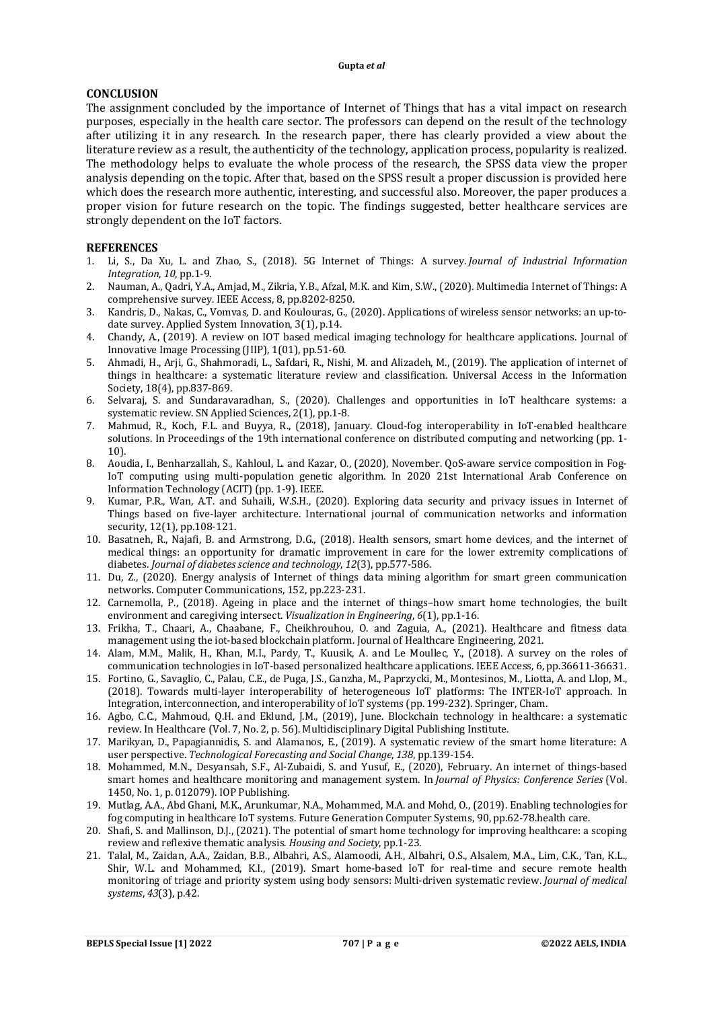# **CONCLUSION**

The assignment concluded by the importance of Internet of Things that has a vital impact on research purposes, especially in the health care sector. The professors can depend on the result of the technology after utilizing it in any research. In the research paper, there has clearly provided a view about the literature review as a result, the authenticity of the technology, application process, popularity is realized. The methodology helps to evaluate the whole process of the research, the SPSS data view the proper analysis depending on the topic. After that, based on the SPSS result a proper discussion is provided here which does the research more authentic, interesting, and successful also. Moreover, the paper produces a proper vision for future research on the topic. The findings suggested, better healthcare services are strongly dependent on the IoT factors.

# **REFERENCES**

- 1. Li, S., Da Xu, L. and Zhao, S., (2018). 5G Internet of Things: A survey. *Journal of Industrial Information Integration*, *10*, pp.1-9.
- 2. Nauman, A., Qadri, Y.A., Amjad, M., Zikria, Y.B., Afzal, M.K. and Kim, S.W., (2020). Multimedia Internet of Things: A comprehensive survey. IEEE Access, 8, pp.8202-8250.
- 3. Kandris, D., Nakas, C., Vomvas, D. and Koulouras, G., (2020). Applications of wireless sensor networks: an up-todate survey. Applied System Innovation, 3(1), p.14.
- 4. Chandy, A., (2019). A review on IOT based medical imaging technology for healthcare applications. Journal of Innovative Image Processing (JIIP), 1(01), pp.51-60.
- 5. Ahmadi, H., Arji, G., Shahmoradi, L., Safdari, R., Nishi, M. and Alizadeh, M., (2019). The application of internet of things in healthcare: a systematic literature review and classification. Universal Access in the Information Society, 18(4), pp.837-869.
- 6. Selvaraj, S. and Sundaravaradhan, S., (2020). Challenges and opportunities in IoT healthcare systems: a systematic review. SN Applied Sciences, 2(1), pp.1-8.
- 7. Mahmud, R., Koch, F.L. and Buyya, R., (2018), January. Cloud-fog interoperability in IoT-enabled healthcare solutions. In Proceedings of the 19th international conference on distributed computing and networking (pp. 1- 10).
- 8. Aoudia, I., Benharzallah, S., Kahloul, L. and Kazar, O., (2020), November. QoS-aware service composition in Fog-IoT computing using multi-population genetic algorithm. In 2020 21st International Arab Conference on Information Technology (ACIT) (pp. 1-9). IEEE.
- 9. Kumar, P.R., Wan, A.T. and Suhaili, W.S.H., (2020). Exploring data security and privacy issues in Internet of Things based on five-layer architecture. International journal of communication networks and information security, 12(1), pp.108-121.
- 10. Basatneh, R., Najafi, B. and Armstrong, D.G., (2018). Health sensors, smart home devices, and the internet of medical things: an opportunity for dramatic improvement in care for the lower extremity complications of diabetes. *Journal of diabetes science and technology*, *12*(3), pp.577-586.
- 11. Du, Z., (2020). Energy analysis of Internet of things data mining algorithm for smart green communication networks. Computer Communications, 152, pp.223-231.
- 12. Carnemolla, P., (2018). Ageing in place and the internet of things–how smart home technologies, the built environment and caregiving intersect. *Visualization in Engineering*, *6*(1), pp.1-16.
- 13. Frikha, T., Chaari, A., Chaabane, F., Cheikhrouhou, O. and Zaguia, A., (2021). Healthcare and fitness data management using the iot-based blockchain platform. Journal of Healthcare Engineering, 2021.
- 14. Alam, M.M., Malik, H., Khan, M.I., Pardy, T., Kuusik, A. and Le Moullec, Y., (2018). A survey on the roles of communication technologies in IoT-based personalized healthcare applications. IEEE Access, 6, pp.36611-36631.
- 15. Fortino, G., Savaglio, C., Palau, C.E., de Puga, J.S., Ganzha, M., Paprzycki, M., Montesinos, M., Liotta, A. and Llop, M., (2018). Towards multi-layer interoperability of heterogeneous IoT platforms: The INTER-IoT approach. In Integration, interconnection, and interoperability of IoT systems (pp. 199-232). Springer, Cham.
- 16. Agbo, C.C., Mahmoud, Q.H. and Eklund, J.M., (2019), June. Blockchain technology in healthcare: a systematic review. In Healthcare (Vol. 7, No. 2, p. 56). Multidisciplinary Digital Publishing Institute.
- 17. Marikyan, D., Papagiannidis, S. and Alamanos, E., (2019). A systematic review of the smart home literature: A user perspective. *Technological Forecasting and Social Change*, *138*, pp.139-154.
- 18. Mohammed, M.N., Desyansah, S.F., Al-Zubaidi, S. and Yusuf, E., (2020), February. An internet of things-based smart homes and healthcare monitoring and management system. In *Journal of Physics: Conference Series* (Vol. 1450, No. 1, p. 012079). IOP Publishing.
- 19. Mutlag, A.A., Abd Ghani, M.K., Arunkumar, N.A., Mohammed, M.A. and Mohd, O., (2019). Enabling technologies for fog computing in healthcare IoT systems. Future Generation Computer Systems, 90, pp.62-78.health care.
- 20. Shafi, S. and Mallinson, D.J., (2021). The potential of smart home technology for improving healthcare: a scoping review and reflexive thematic analysis. *Housing and Society*, pp.1-23.
- 21. Talal, M., Zaidan, A.A., Zaidan, B.B., Albahri, A.S., Alamoodi, A.H., Albahri, O.S., Alsalem, M.A., Lim, C.K., Tan, K.L., Shir, W.L. and Mohammed, K.I., (2019). Smart home-based IoT for real-time and secure remote health monitoring of triage and priority system using body sensors: Multi-driven systematic review. *Journal of medical systems*, *43*(3), p.42.